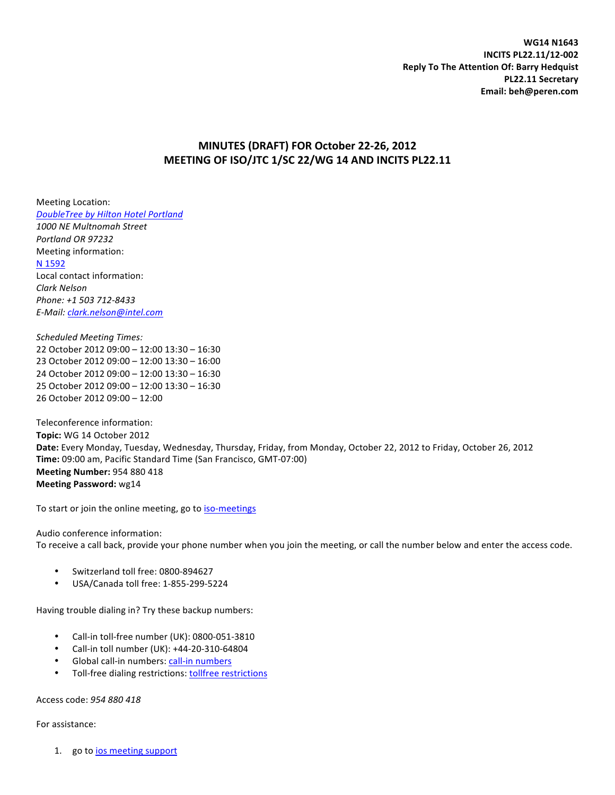**WG14 N1643 INCITS PL22.11/12-002 Reply To The Attention Of: Barry Hedquist PL22.11 Secretary Email: beh@peren.com**

# **MINUTES (DRAFT) FOR October 22-26, 2012** MEETING OF ISO/JTC 1/SC 22/WG 14 AND INCITS PL22.11

Meeting Location: *DoubleTree by Hilton Hotel Portland 1000 NE Multnomah Street Portland OR 97232* Meeting information: N 1592 Local contact information: *Clark Nelson Phone: +1 503 712-8433 E-Mail: clark.nelson@intel.com*

*Scheduled Meeting Times:* 22 October 2012 09:00 - 12:00 13:30 - 16:30 23 October 2012 09:00 - 12:00 13:30 - 16:00 24 October 2012 09:00 - 12:00 13:30 - 16:30 25 October 2012 09:00 - 12:00 13:30 - 16:30 26 October 2012 09:00 - 12:00

Teleconference information: **Topic:** WG 14 October 2012 Date: Every Monday, Tuesday, Wednesday, Thursday, Friday, from Monday, October 22, 2012 to Friday, October 26, 2012 **Time:** 09:00 am, Pacific Standard Time (San Francisco, GMT-07:00) **Meeting Number: 954 880 418 Meeting Password:** wg14

To start or join the online meeting, go to iso-meetings

Audio conference information: To receive a call back, provide your phone number when you join the meeting, or call the number below and enter the access code.

- Switzerland toll free: 0800-894627
- USA/Canada toll free: 1-855-299-5224

Having trouble dialing in? Try these backup numbers:

- Call-in toll-free number (UK): 0800-051-3810
- Call-in toll number (UK): +44-20-310-64804
- Global call-in numbers: call-in numbers
- Toll-free dialing restrictions: tollfree restrictions

Access code: *954 880 418*

For assistance:

1. go to *ios* meeting support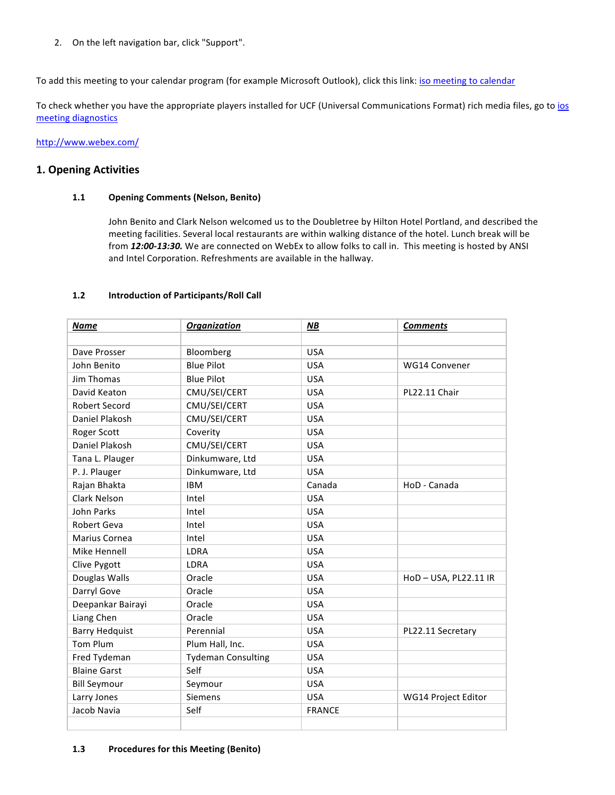2. On the left navigation bar, click "Support".

To add this meeting to your calendar program (for example Microsoft Outlook), click this link: iso meeting to calendar

To check whether you have the appropriate players installed for UCF (Universal Communications Format) rich media files, go to ios meeting diagnostics

http://www.webex.com/

# **1. Opening Activities**

# **1.1 Opening Comments (Nelson, Benito)**

John Benito and Clark Nelson welcomed us to the Doubletree by Hilton Hotel Portland, and described the meeting facilities. Several local restaurants are within walking distance of the hotel. Lunch break will be from 12:00-13:30. We are connected on WebEx to allow folks to call in. This meeting is hosted by ANSI and Intel Corporation. Refreshments are available in the hallway.

# **1.2 Introduction of Participants/Roll Call**

| <b>Name</b>           | <b>Organization</b>       | $M$ B         | <b>Comments</b>     |
|-----------------------|---------------------------|---------------|---------------------|
|                       |                           |               |                     |
| Dave Prosser          | Bloomberg                 | <b>USA</b>    |                     |
| John Benito           | <b>Blue Pilot</b>         | <b>USA</b>    | WG14 Convener       |
| <b>Jim Thomas</b>     | <b>Blue Pilot</b>         | <b>USA</b>    |                     |
| David Keaton          | CMU/SEI/CERT              | <b>USA</b>    | PL22.11 Chair       |
| <b>Robert Secord</b>  | CMU/SEI/CERT              | <b>USA</b>    |                     |
| Daniel Plakosh        | CMU/SEI/CERT              | <b>USA</b>    |                     |
| Roger Scott           | Coverity                  | <b>USA</b>    |                     |
| Daniel Plakosh        | CMU/SEI/CERT              | <b>USA</b>    |                     |
| Tana L. Plauger       | Dinkumware, Ltd           | <b>USA</b>    |                     |
| P. J. Plauger         | Dinkumware, Ltd           | <b>USA</b>    |                     |
| Rajan Bhakta          | <b>IBM</b>                | Canada        | HoD - Canada        |
| Clark Nelson          | Intel                     | <b>USA</b>    |                     |
| <b>John Parks</b>     | Intel                     | <b>USA</b>    |                     |
| Robert Geva           | Intel                     | <b>USA</b>    |                     |
| Marius Cornea         | Intel                     | <b>USA</b>    |                     |
| Mike Hennell          | LDRA                      | <b>USA</b>    |                     |
| Clive Pygott          | <b>LDRA</b>               | <b>USA</b>    |                     |
| Douglas Walls         | Oracle                    | <b>USA</b>    | HoD-USA, PL22.11 IR |
| Darryl Gove           | Oracle                    | <b>USA</b>    |                     |
| Deepankar Bairayi     | Oracle                    | <b>USA</b>    |                     |
| Liang Chen            | Oracle                    | <b>USA</b>    |                     |
| <b>Barry Hedquist</b> | Perennial                 | <b>USA</b>    | PL22.11 Secretary   |
| <b>Tom Plum</b>       | Plum Hall, Inc.           | <b>USA</b>    |                     |
| Fred Tydeman          | <b>Tydeman Consulting</b> | <b>USA</b>    |                     |
| <b>Blaine Garst</b>   | Self                      | <b>USA</b>    |                     |
| <b>Bill Seymour</b>   | Seymour                   | <b>USA</b>    |                     |
| Larry Jones           | <b>Siemens</b>            | <b>USA</b>    | WG14 Project Editor |
| Jacob Navia           | Self                      | <b>FRANCE</b> |                     |
|                       |                           |               |                     |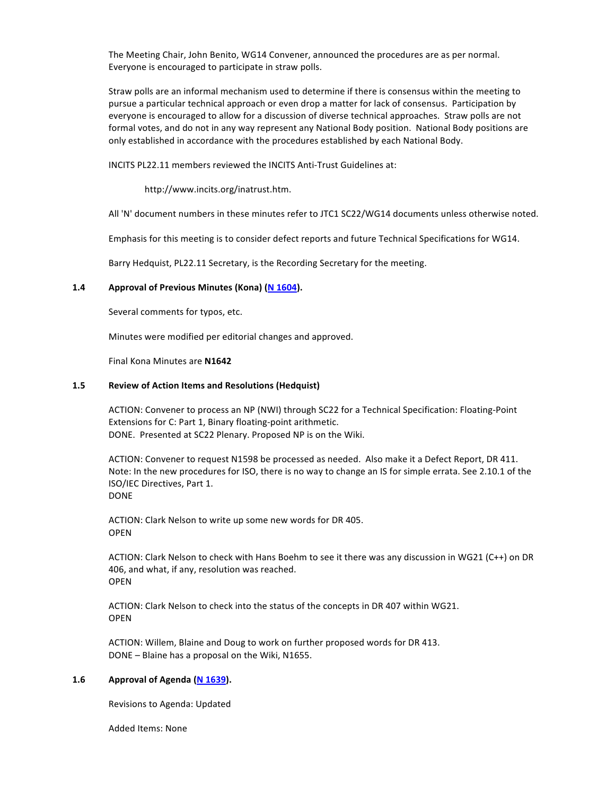The Meeting Chair, John Benito, WG14 Convener, announced the procedures are as per normal. Everyone is encouraged to participate in straw polls.

Straw polls are an informal mechanism used to determine if there is consensus within the meeting to pursue a particular technical approach or even drop a matter for lack of consensus. Participation by everyone is encouraged to allow for a discussion of diverse technical approaches. Straw polls are not formal votes, and do not in any way represent any National Body position. National Body positions are only established in accordance with the procedures established by each National Body.

INCITS PL22.11 members reviewed the INCITS Anti-Trust Guidelines at:

http://www.incits.org/inatrust.htm.

All 'N' document numbers in these minutes refer to JTC1 SC22/WG14 documents unless otherwise noted.

Emphasis for this meeting is to consider defect reports and future Technical Specifications for WG14.

Barry Hedquist, PL22.11 Secretary, is the Recording Secretary for the meeting.

# **1.4 Approval of Previous Minutes (Kona) (N 1604).**

Several comments for typos, etc.

Minutes were modified per editorial changes and approved.

Final Kona Minutes are N1642

#### **1.5 Review of Action Items and Resolutions (Hedquist)**

ACTION: Convener to process an NP (NWI) through SC22 for a Technical Specification: Floating-Point Extensions for C: Part 1, Binary floating-point arithmetic. DONE. Presented at SC22 Plenary. Proposed NP is on the Wiki.

ACTION: Convener to request N1598 be processed as needed. Also make it a Defect Report, DR 411. Note: In the new procedures for ISO, there is no way to change an IS for simple errata. See 2.10.1 of the ISO/IEC Directives, Part 1. DONE

ACTION: Clark Nelson to write up some new words for DR 405. OPEN

ACTION: Clark Nelson to check with Hans Boehm to see it there was any discussion in WG21 (C++) on DR 406, and what, if any, resolution was reached. OPEN

ACTION: Clark Nelson to check into the status of the concepts in DR 407 within WG21. OPEN

ACTION: Willem, Blaine and Doug to work on further proposed words for DR 413.  $DONE - Blaine$  has a proposal on the Wiki, N1655.

#### 1.6 Approval of Agenda (N 1639).

Revisions to Agenda: Updated

Added Items: None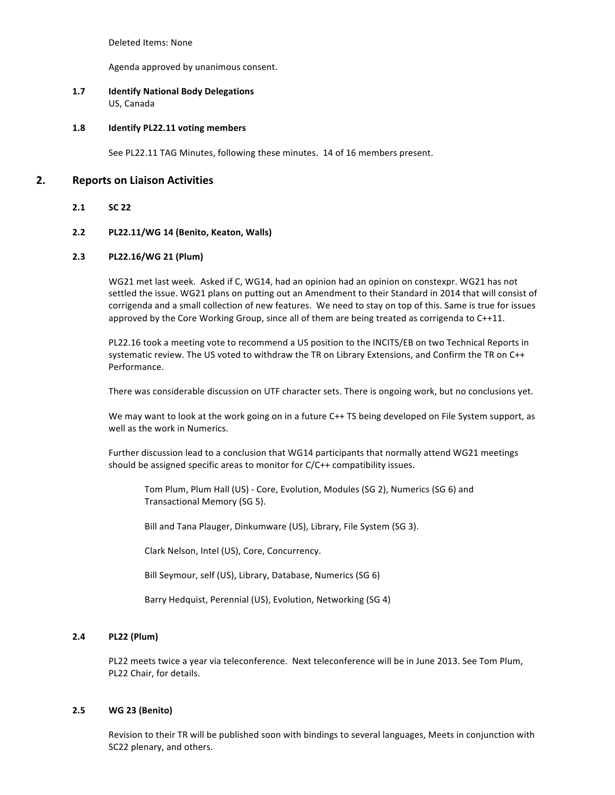Deleted Items: None

Agenda approved by unanimous consent.

# **1.7 Identify National Body Delegations** US, Canada

#### 1.8 **Identify PL22.11 voting members**

See PL22.11 TAG Minutes, following these minutes. 14 of 16 members present.

# **2. Reports on Liaison Activities**

# **2.1 SC 22**

# **2.2 PL22.11/WG 14 (Benito, Keaton, Walls)**

# **2.3 PL22.16/WG 21 (Plum)**

WG21 met last week. Asked if C, WG14, had an opinion had an opinion on constexpr. WG21 has not settled the issue. WG21 plans on putting out an Amendment to their Standard in 2014 that will consist of corrigenda and a small collection of new features. We need to stay on top of this. Same is true for issues approved by the Core Working Group, since all of them are being treated as corrigenda to  $C++11$ .

PL22.16 took a meeting vote to recommend a US position to the INCITS/EB on two Technical Reports in systematic review. The US voted to withdraw the TR on Library Extensions, and Confirm the TR on C++ Performance.

There was considerable discussion on UTF character sets. There is ongoing work, but no conclusions yet.

We may want to look at the work going on in a future C++ TS being developed on File System support, as well as the work in Numerics.

Further discussion lead to a conclusion that WG14 participants that normally attend WG21 meetings should be assigned specific areas to monitor for  $C/C++$  compatibility issues.

Tom Plum, Plum Hall (US) - Core, Evolution, Modules (SG 2), Numerics (SG 6) and Transactional Memory (SG 5).

Bill and Tana Plauger, Dinkumware (US), Library, File System (SG 3).

Clark Nelson, Intel (US), Core, Concurrency.

Bill Seymour, self (US), Library, Database, Numerics (SG 6)

Barry Hedquist, Perennial (US), Evolution, Networking (SG 4)

# **2.4 PL22 (Plum)**

PL22 meets twice a year via teleconference. Next teleconference will be in June 2013. See Tom Plum, PL22 Chair, for details.

#### **2.5 WG 23 (Benito)**

Revision to their TR will be published soon with bindings to several languages, Meets in conjunction with SC22 plenary, and others.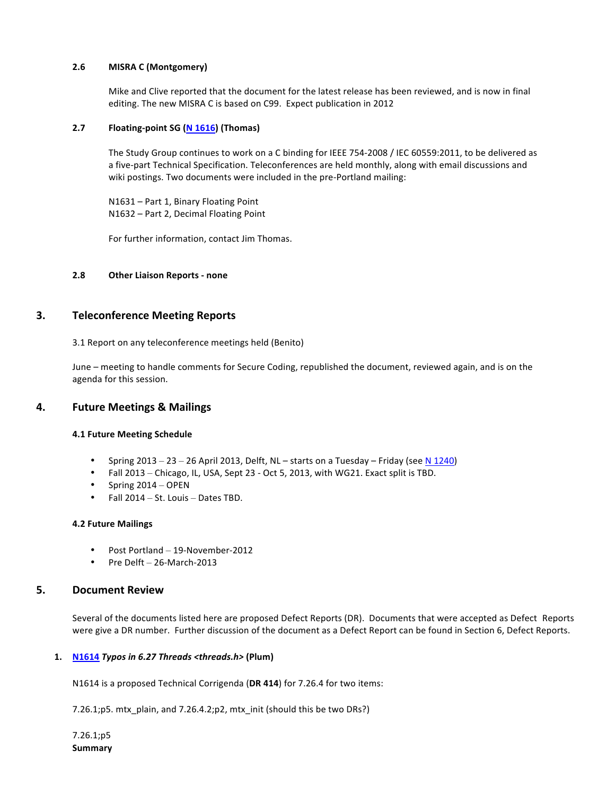# **2.6 MISRA C (Montgomery)**

Mike and Clive reported that the document for the latest release has been reviewed, and is now in final editing. The new MISRA C is based on C99. Expect publication in 2012

# **2.7 Floating-point SG (N 1616)** (Thomas)

The Study Group continues to work on a C binding for IEEE 754-2008 / IEC 60559:2011, to be delivered as a five-part Technical Specification. Teleconferences are held monthly, along with email discussions and wiki postings. Two documents were included in the pre-Portland mailing:

N1631 – Part 1, Binary Floating Point N1632 - Part 2, Decimal Floating Point

For further information, contact Jim Thomas.

# **2.8 Other Liaison Reports - none**

# **3. Teleconference Meeting Reports**

3.1 Report on any teleconference meetings held (Benito)

June – meeting to handle comments for Secure Coding, republished the document, reviewed again, and is on the agenda for this session.

# **4. Future Meetings & Mailings**

#### **4.1 Future Meeting Schedule**

- Spring  $2013 23 26$  April 2013, Delft, NL starts on a Tuesday Friday (see N 1240)
- Fall 2013 Chicago, IL, USA, Sept 23 Oct 5, 2013, with WG21. Exact split is TBD.
- Spring  $2014 -$  OPEN
- Fall  $2014 St.$  Louis  $-$  Dates TBD.

#### **4.2 Future Mailings**

- Post Portland 19-November-2012
- Pre Delft 26-March-2013

# **5. Document Review**

Several of the documents listed here are proposed Defect Reports (DR). Documents that were accepted as Defect Reports were give a DR number. Further discussion of the document as a Defect Report can be found in Section 6, Defect Reports.

#### **1. N1614** *Typos in 6.27 Threads <threads.h>* (Plum)

N1614 is a proposed Technical Corrigenda (DR 414) for 7.26.4 for two items:

7.26.1;  $p5.$  mtx\_plain, and 7.26.4.2;  $p2$ , mtx\_init (should this be two DRs?)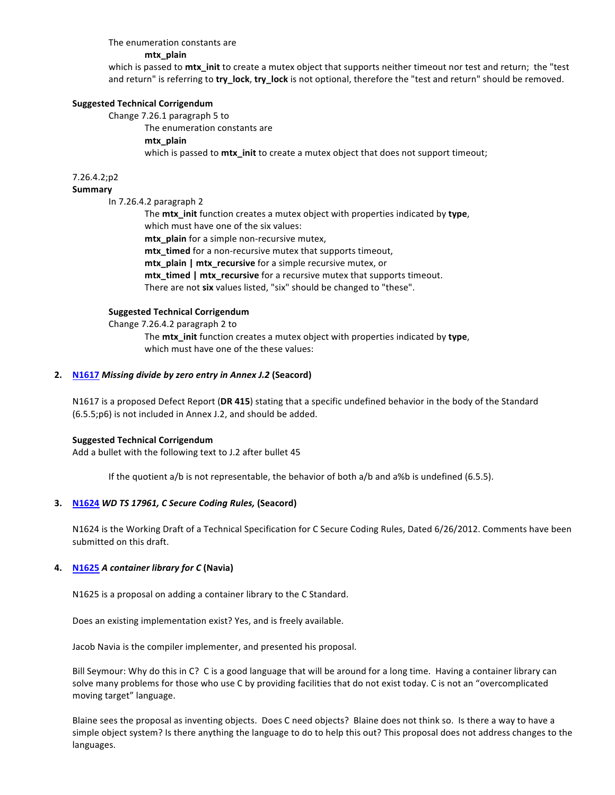#### The enumeration constants are

#### **mtx\_plain**

which is passed to mtx\_init to create a mutex object that supports neither timeout nor test and return; the "test and return" is referring to **try\_lock**, try\_lock is not optional, therefore the "test and return" should be removed.

#### **Suggested Technical Corrigendum**

Change 7.26.1 paragraph 5 to 

The enumeration constants are **mtx\_plain** which is passed to **mtx\_init** to create a mutex object that does not support timeout;

#### 7.26.4.2;p2

#### **Summary**

In 7.26.4.2 paragraph 2 

The **mtx\_init** function creates a mutex object with properties indicated by type, which must have one of the six values: mtx\_plain for a simple non-recursive mutex, mtx\_timed for a non-recursive mutex that supports timeout, **mtx\_plain | mtx\_recursive** for a simple recursive mutex, or mtx\_timed | mtx\_recursive for a recursive mutex that supports timeout.

There are not six values listed, "six" should be changed to "these".

#### **Suggested Technical Corrigendum**

Change 7.26.4.2 paragraph 2 to The **mtx\_init** function creates a mutex object with properties indicated by type, which must have one of the these values:

#### **2. N1617** *Missing divide by zero entry in Annex J.2* (Seacord)

N1617 is a proposed Defect Report (DR 415) stating that a specific undefined behavior in the body of the Standard  $(6.5.5;p6)$  is not included in Annex J.2, and should be added.

#### **Suggested Technical Corrigendum**

Add a bullet with the following text to J.2 after bullet 45

If the quotient  $a/b$  is not representable, the behavior of both  $a/b$  and  $a/b$  is undefined (6.5.5).

#### **3. N1624** *WD TS 17961, C Secure Coding Rules,* (Seacord)

N1624 is the Working Draft of a Technical Specification for C Secure Coding Rules, Dated 6/26/2012. Comments have been submitted on this draft.

#### **4. N1625** *A* container library for C (Navia)

N1625 is a proposal on adding a container library to the C Standard.

Does an existing implementation exist? Yes, and is freely available.

Jacob Navia is the compiler implementer, and presented his proposal.

Bill Seymour: Why do this in C? C is a good language that will be around for a long time. Having a container library can solve many problems for those who use C by providing facilities that do not exist today. C is not an "overcomplicated moving target" language.

Blaine sees the proposal as inventing objects. Does C need objects? Blaine does not think so. Is there a way to have a simple object system? Is there anything the language to do to help this out? This proposal does not address changes to the languages.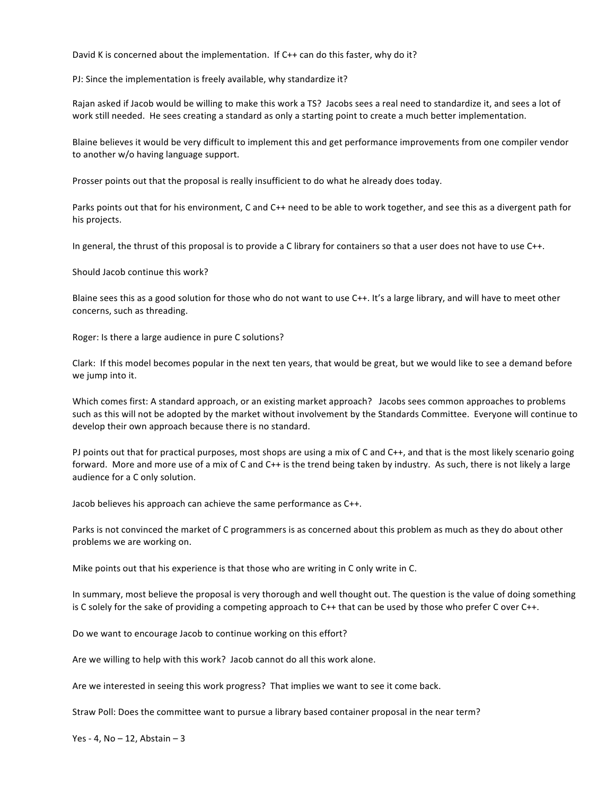David K is concerned about the implementation. If C++ can do this faster, why do it?

PJ: Since the implementation is freely available, why standardize it?

Rajan asked if Jacob would be willing to make this work a TS? Jacobs sees a real need to standardize it, and sees a lot of work still needed. He sees creating a standard as only a starting point to create a much better implementation.

Blaine believes it would be very difficult to implement this and get performance improvements from one compiler vendor to another w/o having language support.

Prosser points out that the proposal is really insufficient to do what he already does today.

Parks points out that for his environment, C and C++ need to be able to work together, and see this as a divergent path for his projects.

In general, the thrust of this proposal is to provide a C library for containers so that a user does not have to use  $C_{++}$ .

Should Jacob continue this work?

Blaine sees this as a good solution for those who do not want to use  $C++$ . It's a large library, and will have to meet other concerns, such as threading.

Roger: Is there a large audience in pure C solutions?

Clark: If this model becomes popular in the next ten years, that would be great, but we would like to see a demand before we jump into it.

Which comes first: A standard approach, or an existing market approach? Jacobs sees common approaches to problems such as this will not be adopted by the market without involvement by the Standards Committee. Everyone will continue to develop their own approach because there is no standard.

PJ points out that for practical purposes, most shops are using a mix of C and C++, and that is the most likely scenario going forward. More and more use of a mix of C and C++ is the trend being taken by industry. As such, there is not likely a large audience for a C only solution.

Jacob believes his approach can achieve the same performance as C++.

Parks is not convinced the market of C programmers is as concerned about this problem as much as they do about other problems we are working on.

Mike points out that his experience is that those who are writing in C only write in C.

In summary, most believe the proposal is very thorough and well thought out. The question is the value of doing something is C solely for the sake of providing a competing approach to C++ that can be used by those who prefer C over C++.

Do we want to encourage Jacob to continue working on this effort?

Are we willing to help with this work? Jacob cannot do all this work alone.

Are we interested in seeing this work progress? That implies we want to see it come back.

Straw Poll: Does the committee want to pursue a library based container proposal in the near term?

Yes - 4,  $No - 12$ , Abstain  $-3$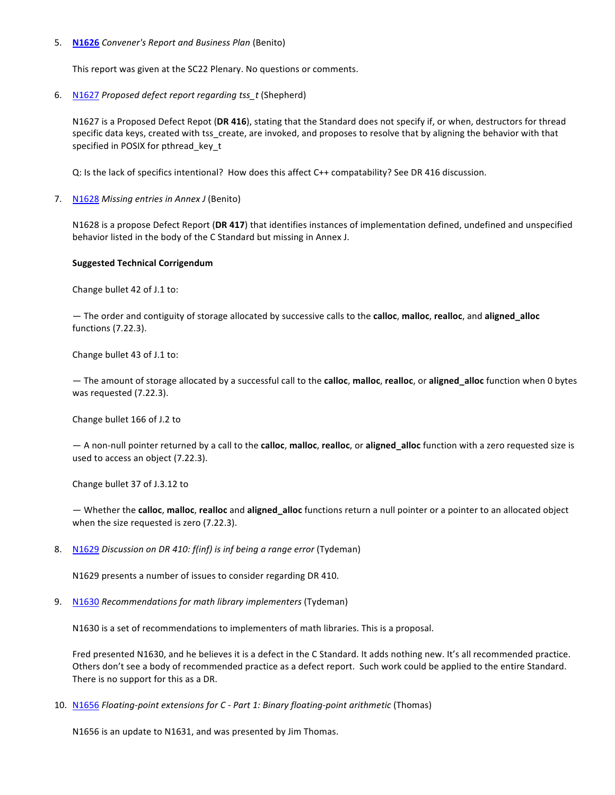#### 5. **N1626** *Convener's Report and Business Plan (Benito)*

This report was given at the SC22 Plenary. No questions or comments.

6. N1627 *Proposed defect report regarding tss* t (Shepherd)

N1627 is a Proposed Defect Repot (DR 416), stating that the Standard does not specify if, or when, destructors for thread specific data keys, created with tss\_create, are invoked, and proposes to resolve that by aligning the behavior with that specified in POSIX for pthread key t

Q: Is the lack of specifics intentional? How does this affect C++ compatability? See DR 416 discussion.

7. N1628 Missing entries in Annex J (Benito)

N1628 is a propose Defect Report (DR 417) that identifies instances of implementation defined, undefined and unspecified behavior listed in the body of the C Standard but missing in Annex J.

# **Suggested Technical Corrigendum**

Change bullet 42 of J.1 to:

 $-$  The order and contiguity of storage allocated by successive calls to the **calloc**, malloc, realloc, and aligned alloc functions (7.22.3). 

Change bullet 43 of J.1 to:

 $-$  The amount of storage allocated by a successful call to the calloc, malloc, realloc, or aligned\_alloc function when 0 bytes was requested (7.22.3).

Change bullet 166 of J.2 to

 $-$  A non-null pointer returned by a call to the calloc, malloc, realloc, or aligned\_alloc function with a zero requested size is used to access an object (7.22.3).

Change bullet 37 of J.3.12 to

— Whether the **calloc**, **malloc**, **realloc** and **aligned\_alloc** functions return a null pointer or a pointer to an allocated object when the size requested is zero (7.22.3).

8. N1629 *Discussion on DR 410: f(inf)* is inf being a range error (Tydeman)

N1629 presents a number of issues to consider regarding DR 410.

9. N1630 *Recommendations for math library implementers* (Tydeman)

N1630 is a set of recommendations to implementers of math libraries. This is a proposal.

Fred presented N1630, and he believes it is a defect in the C Standard. It adds nothing new. It's all recommended practice. Others don't see a body of recommended practice as a defect report. Such work could be applied to the entire Standard. There is no support for this as a DR.

10. N1656 Floating-point extensions for C - Part 1: Binary floating-point arithmetic (Thomas)

N1656 is an update to N1631, and was presented by Jim Thomas.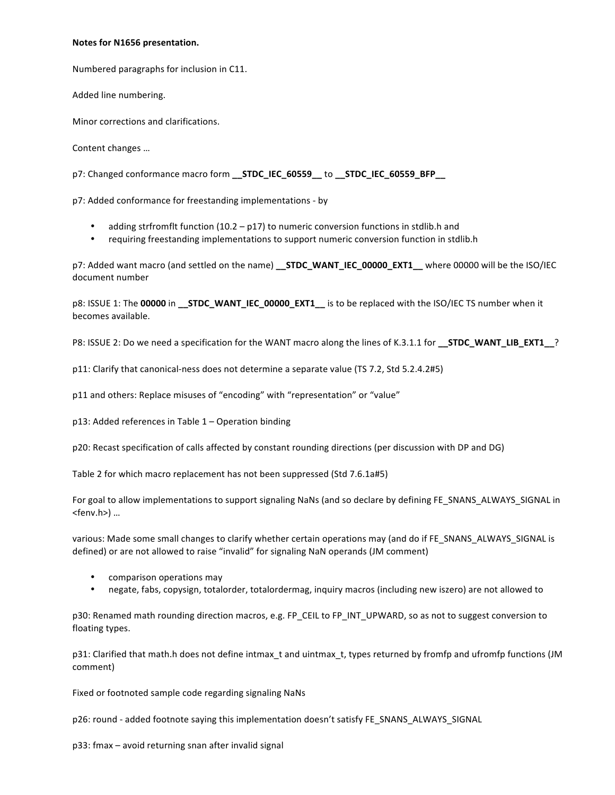#### **Notes for N1656 presentation.**

Numbered paragraphs for inclusion in C11.

Added line numbering.

Minor corrections and clarifications.

Content changes ...

p7: Changed conformance macro form **\_\_STDC\_IEC\_60559\_\_ to \_\_STDC\_IEC\_60559\_BFP**\_\_

p7: Added conformance for freestanding implementations - by

- adding strfromflt function  $(10.2 p17)$  to numeric conversion functions in stdlib.h and
- requiring freestanding implementations to support numeric conversion function in stdlib.h

p7: Added want macro (and settled on the name) **\_\_STDC\_WANT\_IEC\_00000\_EXT1** where 00000 will be the ISO/IEC document number

p8: ISSUE 1: The 00000 in **\_\_STDC\_WANT\_IEC\_00000\_EXT1**\_\_ is to be replaced with the ISO/IEC TS number when it becomes available.

P8: ISSUE 2: Do we need a specification for the WANT macro along the lines of K.3.1.1 for **\_\_STDC\_WANT\_LIB\_EXT1\_\_**?

p11: Clarify that canonical-ness does not determine a separate value (TS 7.2, Std 5.2.4.2#5)

p11 and others: Replace misuses of "encoding" with "representation" or "value"

 $p13$ : Added references in Table  $1 -$  Operation binding

p20: Recast specification of calls affected by constant rounding directions (per discussion with DP and DG)

Table 2 for which macro replacement has not been suppressed (Std 7.6.1a#5)

For goal to allow implementations to support signaling NaNs (and so declare by defining FE\_SNANS\_ALWAYS\_SIGNAL in <fenv.h>) ...

various: Made some small changes to clarify whether certain operations may (and do if FE\_SNANS\_ALWAYS\_SIGNAL is defined) or are not allowed to raise "invalid" for signaling NaN operands (JM comment)

- comparison operations may
- negate, fabs, copysign, totalorder, totalordermag, inquiry macros (including new iszero) are not allowed to

p30: Renamed math rounding direction macros, e.g. FP\_CEIL to FP\_INT\_UPWARD, so as not to suggest conversion to floating types.

p31: Clarified that math.h does not define intmax t and uintmax t, types returned by fromfp and ufromfp functions (JM comment)

Fixed or footnoted sample code regarding signaling NaNs

p26: round - added footnote saying this implementation doesn't satisfy FE\_SNANS\_ALWAYS\_SIGNAL

p33: fmax - avoid returning snan after invalid signal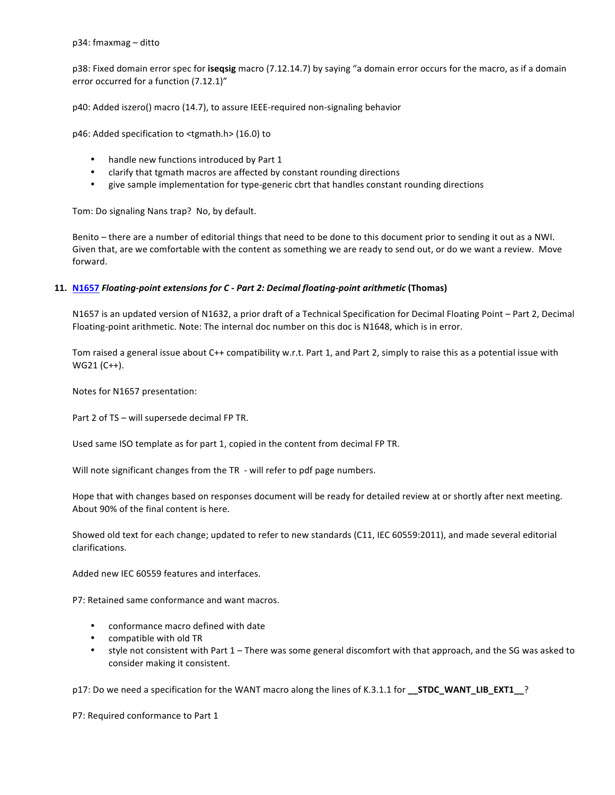p38: Fixed domain error spec for **isegsig** macro (7.12.14.7) by saying "a domain error occurs for the macro, as if a domain error occurred for a function (7.12.1)"

p40: Added iszero() macro (14.7), to assure IEEE-required non-signaling behavior

 $p46$ : Added specification to <tgmath.h> (16.0) to

- handle new functions introduced by Part 1
- clarify that tgmath macros are affected by constant rounding directions
- give sample implementation for type-generic cbrt that handles constant rounding directions

Tom: Do signaling Nans trap? No, by default.

Benito – there are a number of editorial things that need to be done to this document prior to sending it out as a NWI. Given that, are we comfortable with the content as something we are ready to send out, or do we want a review. Move forward.

#### **11. N1657** *Floating-point extensions for C - Part 2: Decimal floating-point arithmetic* (Thomas)

N1657 is an updated version of N1632, a prior draft of a Technical Specification for Decimal Floating Point – Part 2, Decimal Floating-point arithmetic. Note: The internal doc number on this doc is N1648, which is in error.

Tom raised a general issue about C++ compatibility w.r.t. Part 1, and Part 2, simply to raise this as a potential issue with  $WG21 (C++)$ .

Notes for N1657 presentation:

Part 2 of TS – will supersede decimal FP TR.

Used same ISO template as for part 1, copied in the content from decimal FP TR.

Will note significant changes from the TR - will refer to pdf page numbers.

Hope that with changes based on responses document will be ready for detailed review at or shortly after next meeting. About 90% of the final content is here.

Showed old text for each change; updated to refer to new standards (C11, IEC 60559:2011), and made several editorial clarifications.

Added new IEC 60559 features and interfaces.

P7: Retained same conformance and want macros.

- conformance macro defined with date
- compatible with old TR
- style not consistent with Part 1 There was some general discomfort with that approach, and the SG was asked to consider making it consistent.

p17: Do we need a specification for the WANT macro along the lines of K.3.1.1 for **\_\_STDC\_WANT\_LIB\_EXT1\_\_**?

P7: Required conformance to Part 1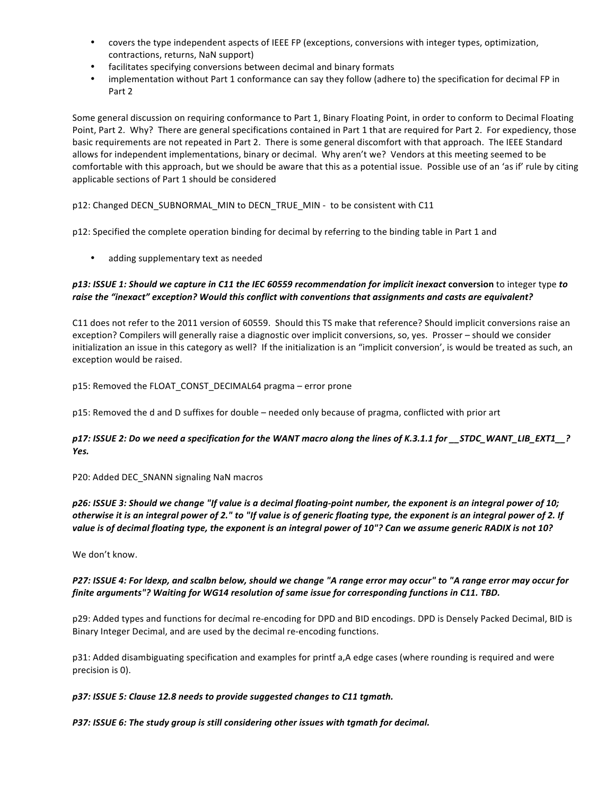- covers the type independent aspects of IEEE FP (exceptions, conversions with integer types, optimization, contractions, returns, NaN support)
- facilitates specifying conversions between decimal and binary formats
- implementation without Part 1 conformance can say they follow (adhere to) the specification for decimal FP in Part 2

Some general discussion on requiring conformance to Part 1, Binary Floating Point, in order to conform to Decimal Floating Point, Part 2. Why? There are general specifications contained in Part 1 that are required for Part 2. For expediency, those basic requirements are not repeated in Part 2. There is some general discomfort with that approach. The IEEE Standard allows for independent implementations, binary or decimal. Why aren't we? Vendors at this meeting seemed to be comfortable with this approach, but we should be aware that this as a potential issue. Possible use of an 'as if' rule by citing applicable sections of Part 1 should be considered

# p12: Changed DECN\_SUBNORMAL\_MIN to DECN\_TRUE\_MIN - to be consistent with C11

p12: Specified the complete operation binding for decimal by referring to the binding table in Part 1 and

• adding supplementary text as needed

# p13: ISSUE 1: Should we capture in C11 the IEC 60559 recommendation for implicit inexact conversion to integer type to raise the "inexact" exception? Would this conflict with conventions that assignments and casts are equivalent?

C11 does not refer to the 2011 version of 60559. Should this TS make that reference? Should implicit conversions raise an exception? Compilers will generally raise a diagnostic over implicit conversions, so, yes. Prosser – should we consider initialization an issue in this category as well? If the initialization is an "implicit conversion', is would be treated as such, an exception would be raised.

p15: Removed the FLOAT CONST DECIMAL64 pragma - error prone

p15: Removed the d and D suffixes for double – needed only because of pragma, conflicted with prior art

# *p17:* ISSUE 2: Do we need a specification for the WANT macro along the lines of K.3.1.1 for \_\_STDC\_WANT\_LIB\_EXT1\_\_? *Yes.*

P20: Added DEC SNANN signaling NaN macros

# *p26:* ISSUE 3: Should we change "If value is a decimal floating-point number, the exponent is an integral power of 10; otherwise it is an integral power of 2." to "If value is of generic floating type, the exponent is an integral power of 2. If value is of decimal floating type, the exponent is an integral power of 10"? Can we assume generic RADIX is not 10?

We don't know.

# *P27:* ISSUE 4: For ldexp, and scalbn below, should we change "A range error may occur" to "A range error may occur for *finite arguments"?* Waiting for WG14 resolution of same issue for corresponding functions in C11. TBD.

p29: Added types and functions for decimal re-encoding for DPD and BID encodings. DPD is Densely Packed Decimal, BID is Binary Integer Decimal, and are used by the decimal re-encoding functions.

p31: Added disambiguating specification and examples for printf a, A edge cases (where rounding is required and were precision is 0).

#### p37: ISSUE 5: Clause 12.8 needs to provide suggested changes to C11 tgmath.

# P37: ISSUE 6: The study group is still considering other issues with tgmath for decimal.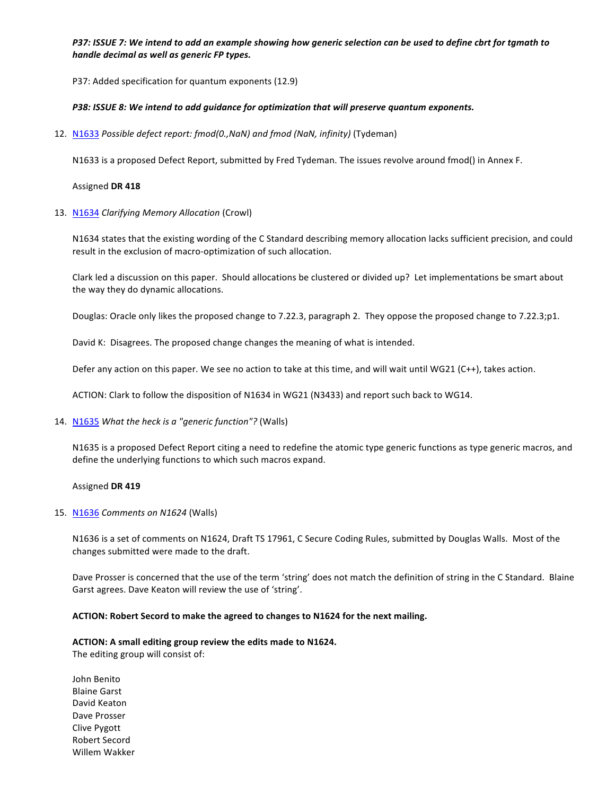# *P37:* ISSUE 7: We intend to add an example showing how generic selection can be used to define cbrt for tgmath to *handle decimal as well as generic FP types.*

P37: Added specification for quantum exponents (12.9)

# P38: ISSUE 8: We intend to add guidance for optimization that will preserve quantum exponents.

12. N1633 Possible defect report: fmod(0.,NaN) and fmod (NaN, infinity) (Tydeman)

N1633 is a proposed Defect Report, submitted by Fred Tydeman. The issues revolve around fmod() in Annex F.

#### Assigned **DR 418**

13. N1634 *Clarifying Memory Allocation* (Crowl)

N1634 states that the existing wording of the C Standard describing memory allocation lacks sufficient precision, and could result in the exclusion of macro-optimization of such allocation.

Clark led a discussion on this paper. Should allocations be clustered or divided up? Let implementations be smart about the way they do dynamic allocations.

Douglas: Oracle only likes the proposed change to 7.22.3, paragraph 2. They oppose the proposed change to 7.22.3;p1.

David K: Disagrees. The proposed change changes the meaning of what is intended.

Defer any action on this paper. We see no action to take at this time, and will wait until WG21 (C++), takes action.

ACTION: Clark to follow the disposition of N1634 in WG21 (N3433) and report such back to WG14.

14. N1635 What the heck is a "generic function"? (Walls)

N1635 is a proposed Defect Report citing a need to redefine the atomic type generic functions as type generic macros, and define the underlying functions to which such macros expand.

#### Assigned **DR 419**

#### 15. N1636 *Comments on N1624* (Walls)

N1636 is a set of comments on N1624, Draft TS 17961, C Secure Coding Rules, submitted by Douglas Walls. Most of the changes submitted were made to the draft.

Dave Prosser is concerned that the use of the term 'string' does not match the definition of string in the C Standard. Blaine Garst agrees. Dave Keaton will review the use of 'string'.

#### ACTION: Robert Secord to make the agreed to changes to N1624 for the next mailing.

#### ACTION: A small editing group review the edits made to N1624.

The editing group will consist of:

John Benito **Blaine Garst** David Keaton Dave Prosser Clive Pygott Robert Secord Willem Wakker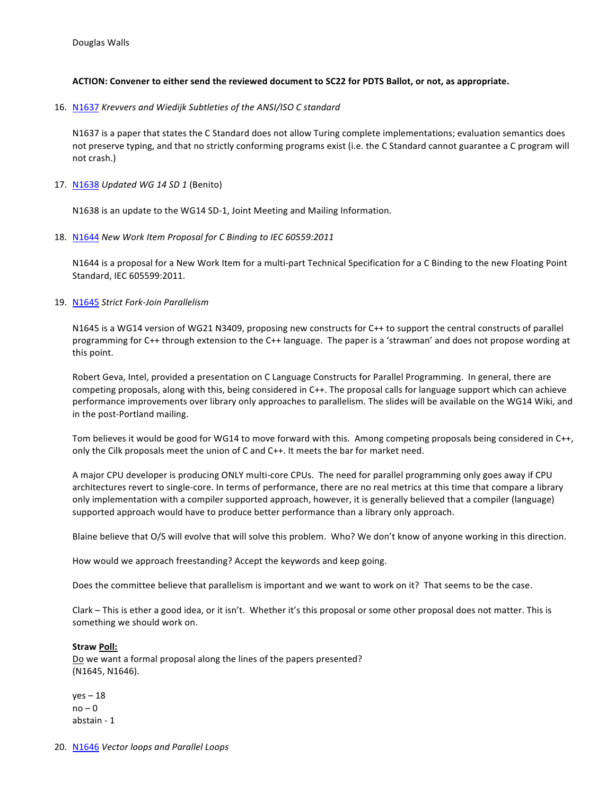# ACTION: Convener to either send the reviewed document to SC22 for PDTS Ballot, or not, as appropriate.

16. N1637 *Krevvers and Wiedijk Subtleties of the ANSI/ISO C standard* 

N1637 is a paper that states the C Standard does not allow Turing complete implementations; evaluation semantics does not preserve typing, and that no strictly conforming programs exist (i.e. the C Standard cannot guarantee a C program will not crash.)

17. N1638 *Updated WG 14 SD 1* (Benito)

N1638 is an update to the WG14 SD-1, Joint Meeting and Mailing Information.

18. N1644 New Work Item Proposal for C Binding to IEC 60559:2011

N1644 is a proposal for a New Work Item for a multi-part Technical Specification for a C Binding to the new Floating Point Standard, IEC 605599:2011.

19. N1645 Strict Fork-Join Parallelism

N1645 is a WG14 version of WG21 N3409, proposing new constructs for C++ to support the central constructs of parallel programming for C++ through extension to the C++ language. The paper is a 'strawman' and does not propose wording at this point.

Robert Geva, Intel, provided a presentation on C Language Constructs for Parallel Programming. In general, there are competing proposals, along with this, being considered in C++. The proposal calls for language support which can achieve performance improvements over library only approaches to parallelism. The slides will be available on the WG14 Wiki, and in the post-Portland mailing.

Tom believes it would be good for WG14 to move forward with this. Among competing proposals being considered in C++, only the Cilk proposals meet the union of C and C++. It meets the bar for market need.

A major CPU developer is producing ONLY multi-core CPUs. The need for parallel programming only goes away if CPU architectures revert to single-core. In terms of performance, there are no real metrics at this time that compare a library only implementation with a compiler supported approach, however, it is generally believed that a compiler (language) supported approach would have to produce better performance than a library only approach.

Blaine believe that O/S will evolve that will solve this problem. Who? We don't know of anyone working in this direction.

How would we approach freestanding? Accept the keywords and keep going.

Does the committee believe that parallelism is important and we want to work on it? That seems to be the case.

Clark – This is ether a good idea, or it isn't. Whether it's this proposal or some other proposal does not matter. This is something we should work on.

#### Straw Poll:

Do we want a formal proposal along the lines of the papers presented? (N1645, N1646).

 $yes - 18$  $no - 0$ abstain - 1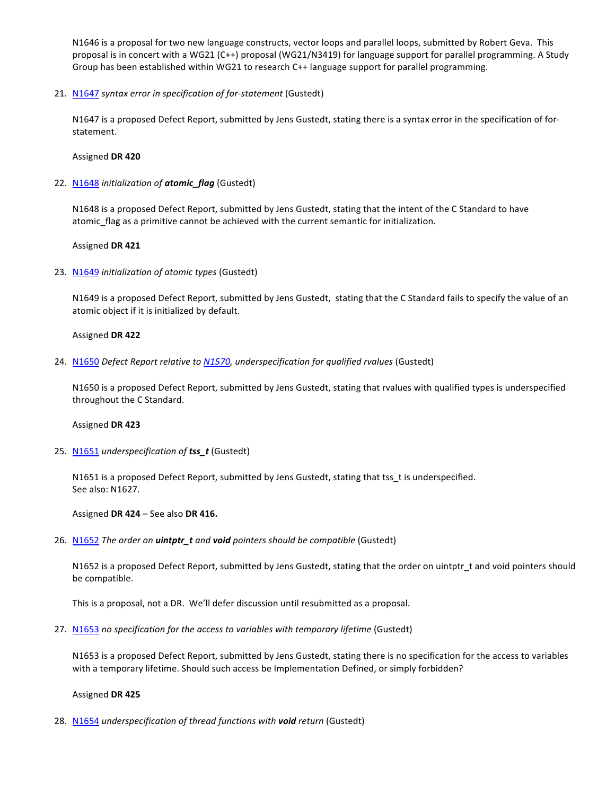N1646 is a proposal for two new language constructs, vector loops and parallel loops, submitted by Robert Geva. This proposal is in concert with a WG21 (C++) proposal (WG21/N3419) for language support for parallel programming. A Study Group has been established within WG21 to research C++ language support for parallel programming.

21. N1647 syntax error in specification of for-statement (Gustedt)

N1647 is a proposed Defect Report, submitted by Jens Gustedt, stating there is a syntax error in the specification of forstatement.

### Assigned **DR 420**

22. N1648 *initialization* of **atomic\_flag** (Gustedt)

N1648 is a proposed Defect Report, submitted by Jens Gustedt, stating that the intent of the C Standard to have atomic\_flag as a primitive cannot be achieved with the current semantic for initialization.

# Assigned **DR 421**

23. N1649 *initialization of atomic types* (Gustedt)

N1649 is a proposed Defect Report, submitted by Jens Gustedt, stating that the C Standard fails to specify the value of an atomic object if it is initialized by default.

#### Assigned **DR 422**

24. N1650 *Defect Report relative to N1570, underspecification for qualified rvalues* (Gustedt)

N1650 is a proposed Defect Report, submitted by Jens Gustedt, stating that rvalues with qualified types is underspecified throughout the C Standard.

#### Assigned **DR 423**

25. N1651 *underspecification* of **tss\_t** (Gustedt)

N1651 is a proposed Defect Report, submitted by Jens Gustedt, stating that tss\_t is underspecified. See also: N1627.

Assigned DR 424 – See also DR 416.

26. N1652 The order on *uintptr\_t* and void pointers should be compatible (Gustedt)

N1652 is a proposed Defect Report, submitted by Jens Gustedt, stating that the order on uintptr\_t and void pointers should be compatible.

This is a proposal, not a DR. We'll defer discussion until resubmitted as a proposal.

27. N1653 no specification for the access to variables with temporary lifetime (Gustedt)

N1653 is a proposed Defect Report, submitted by Jens Gustedt, stating there is no specification for the access to variables with a temporary lifetime. Should such access be Implementation Defined, or simply forbidden?

#### Assigned **DR 425**

28. N1654 *underspecification of thread functions with void return* (Gustedt)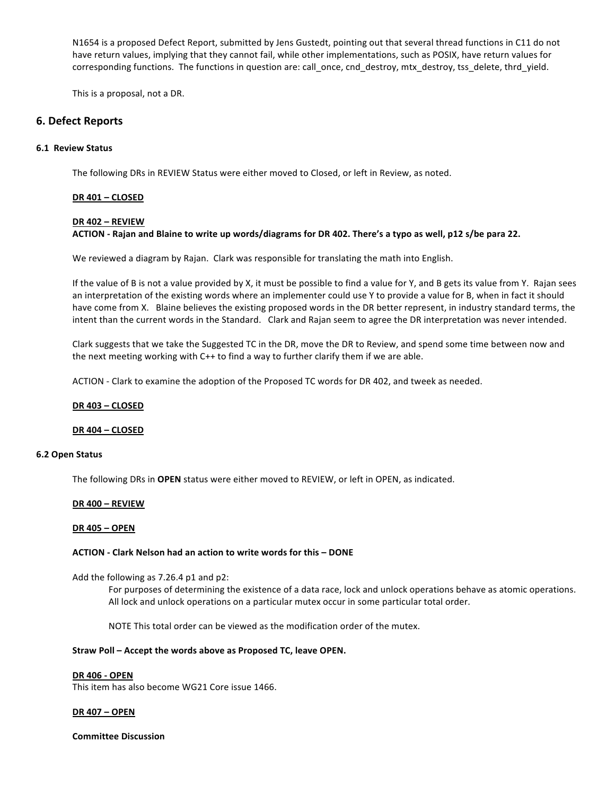N1654 is a proposed Defect Report, submitted by Jens Gustedt, pointing out that several thread functions in C11 do not have return values, implying that they cannot fail, while other implementations, such as POSIX, have return values for corresponding functions. The functions in question are: call once, cnd destroy, mtx destroy, tss delete, thrd yield.

This is a proposal, not a DR.

# **6. Defect Reports**

#### **6.1 Review Status**

The following DRs in REVIEW Status were either moved to Closed, or left in Review, as noted.

#### **DR 401 – CLOSED**

#### **DR 402 – REVIEW**

#### ACTION - Rajan and Blaine to write up words/diagrams for DR 402. There's a typo as well, p12 s/be para 22.

We reviewed a diagram by Rajan. Clark was responsible for translating the math into English.

If the value of B is not a value provided by X, it must be possible to find a value for Y, and B gets its value from Y. Rajan sees an interpretation of the existing words where an implementer could use Y to provide a value for B, when in fact it should have come from X. Blaine believes the existing proposed words in the DR better represent, in industry standard terms, the intent than the current words in the Standard. Clark and Rajan seem to agree the DR interpretation was never intended.

Clark suggests that we take the Suggested TC in the DR, move the DR to Review, and spend some time between now and the next meeting working with  $C++$  to find a way to further clarify them if we are able.

ACTION - Clark to examine the adoption of the Proposed TC words for DR 402, and tweek as needed.

#### **DR 403 – CLOSED**

#### **DR 404 – CLOSED**

#### **6.2 Open Status**

The following DRs in OPEN status were either moved to REVIEW, or left in OPEN, as indicated.

#### **DR 400 – REVIEW**

#### **DR 405 – OPEN**

#### **ACTION - Clark Nelson had an action to write words for this – DONE**

Add the following as  $7.26.4$  p1 and p2:

For purposes of determining the existence of a data race, lock and unlock operations behave as atomic operations. All lock and unlock operations on a particular mutex occur in some particular total order.

NOTE This total order can be viewed as the modification order of the mutex.

#### Straw Poll – Accept the words above as Proposed TC, leave OPEN.

#### **DR 406 - OPEN**

This item has also become WG21 Core issue 1466.

#### **DR 407 – OPEN**

**Committee Discussion**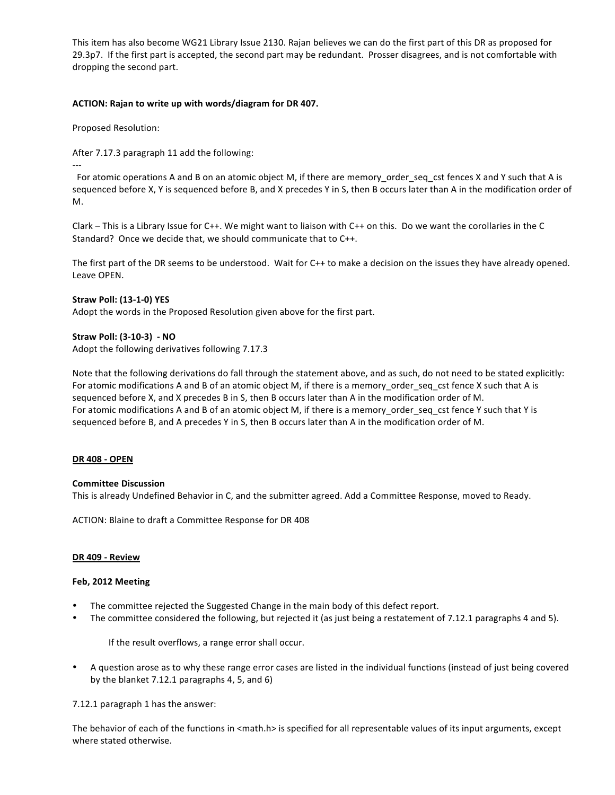This item has also become WG21 Library Issue 2130. Rajan believes we can do the first part of this DR as proposed for 29.3p7. If the first part is accepted, the second part may be redundant. Prosser disagrees, and is not comfortable with dropping the second part.

# ACTION: Rajan to write up with words/diagram for DR 407.

Proposed Resolution: 

After 7.17.3 paragraph 11 add the following:

---

For atomic operations A and B on an atomic object M, if there are memory order seq cst fences X and Y such that A is sequenced before X, Y is sequenced before B, and X precedes Y in S, then B occurs later than A in the modification order of M.

Clark – This is a Library Issue for C++. We might want to liaison with C++ on this. Do we want the corollaries in the C Standard? Once we decide that, we should communicate that to C++.

The first part of the DR seems to be understood. Wait for C++ to make a decision on the issues they have already opened. Leave OPEN.

# **Straw Poll: (13-1-0) YES**

Adopt the words in the Proposed Resolution given above for the first part.

# **Straw Poll: (3-10-3) - NO**

Adopt the following derivatives following 7.17.3

Note that the following derivations do fall through the statement above, and as such, do not need to be stated explicitly: For atomic modifications A and B of an atomic object M, if there is a memory order seq cst fence X such that A is sequenced before X, and X precedes B in S, then B occurs later than A in the modification order of M. For atomic modifications A and B of an atomic object M, if there is a memory order seq cst fence Y such that Y is sequenced before B, and A precedes Y in S, then B occurs later than A in the modification order of M.

#### **DR 408 - OPEN**

#### **Committee Discussion**

This is already Undefined Behavior in C, and the submitter agreed. Add a Committee Response, moved to Ready.

ACTION: Blaine to draft a Committee Response for DR 408

#### **DR 409 - Review**

#### **Feb, 2012 Meeting**

- The committee rejected the Suggested Change in the main body of this defect report.
- The committee considered the following, but rejected it (as just being a restatement of 7.12.1 paragraphs 4 and 5).

If the result overflows, a range error shall occur.

A question arose as to why these range error cases are listed in the individual functions (instead of just being covered by the blanket  $7.12.1$  paragraphs  $4$ ,  $5$ , and  $6$ )

7.12.1 paragraph 1 has the answer:

The behavior of each of the functions in <math.h> is specified for all representable values of its input arguments, except where stated otherwise.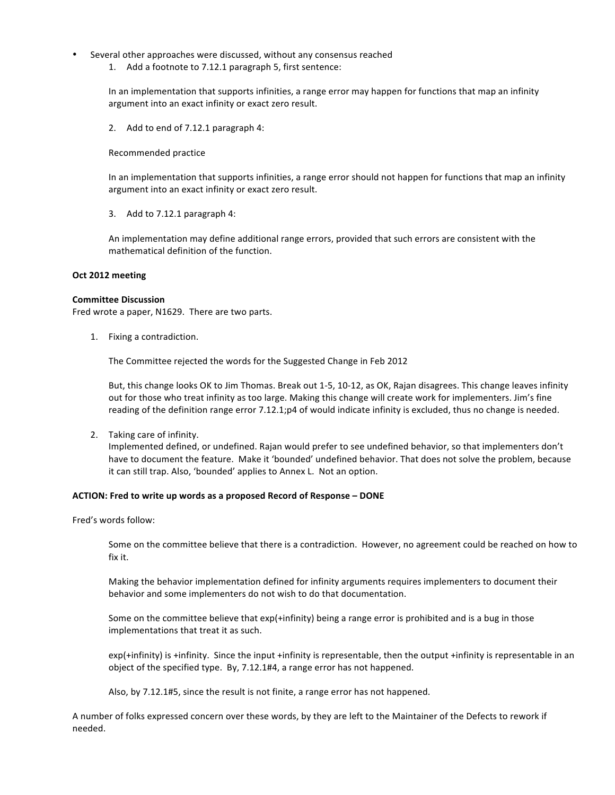- Several other approaches were discussed, without any consensus reached
	- 1. Add a footnote to 7.12.1 paragraph 5, first sentence:

In an implementation that supports infinities, a range error may happen for functions that map an infinity argument into an exact infinity or exact zero result.

2. Add to end of 7.12.1 paragraph 4:

Recommended practice 

In an implementation that supports infinities, a range error should not happen for functions that map an infinity argument into an exact infinity or exact zero result.

3. Add to  $7.12.1$  paragraph 4:

An implementation may define additional range errors, provided that such errors are consistent with the mathematical definition of the function.

#### **Oct 2012 meeting**

#### **Committee Discussion**

Fred wrote a paper, N1629. There are two parts.

1. Fixing a contradiction.

The Committee rejected the words for the Suggested Change in Feb 2012

But, this change looks OK to Jim Thomas. Break out 1-5, 10-12, as OK, Rajan disagrees. This change leaves infinity out for those who treat infinity as too large. Making this change will create work for implementers. Jim's fine reading of the definition range error 7.12.1;p4 of would indicate infinity is excluded, thus no change is needed.

2. Taking care of infinity.

Implemented defined, or undefined. Rajan would prefer to see undefined behavior, so that implementers don't have to document the feature. Make it 'bounded' undefined behavior. That does not solve the problem, because it can still trap. Also, 'bounded' applies to Annex L. Not an option.

#### ACTION: Fred to write up words as a proposed Record of Response - DONE

Fred's words follow:

Some on the committee believe that there is a contradiction. However, no agreement could be reached on how to fix it.

Making the behavior implementation defined for infinity arguments requires implementers to document their behavior and some implementers do not wish to do that documentation.

Some on the committee believe that  $exp(+infinity)$  being a range error is prohibited and is a bug in those implementations that treat it as such.

 $exp(+infinity)$  is +infinity. Since the input +infinity is representable, then the output +infinity is representable in an object of the specified type. By, 7.12.1#4, a range error has not happened.

Also, by 7.12.1#5, since the result is not finite, a range error has not happened.

A number of folks expressed concern over these words, by they are left to the Maintainer of the Defects to rework if needed.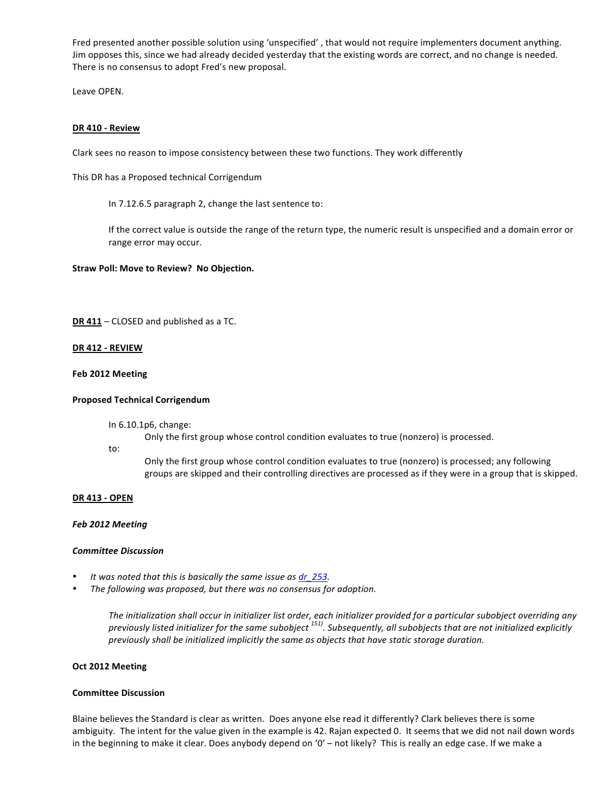Fred presented another possible solution using 'unspecified', that would not require implementers document anything. Jim opposes this, since we had already decided yesterday that the existing words are correct, and no change is needed. There is no consensus to adopt Fred's new proposal.

Leave OPEN.

#### **DR 410 - Review**

Clark sees no reason to impose consistency between these two functions. They work differently

This DR has a Proposed technical Corrigendum

In 7.12.6.5 paragraph 2, change the last sentence to:

If the correct value is outside the range of the return type, the numeric result is unspecified and a domain error or range error may occur.

**Straw Poll: Move to Review? No Objection.** 

**DR 411** – CLOSED and published as a TC.

#### **DR 412 - REVIEW**

#### **Feb 2012 Meeting**

#### **Proposed Technical Corrigendum**

In 6.10.1p6, change:

Only the first group whose control condition evaluates to true (nonzero) is processed.

to:

Only the first group whose control condition evaluates to true (nonzero) is processed; any following groups are skipped and their controlling directives are processed as if they were in a group that is skipped.

#### **DR 413 - OPEN**

#### *Feb 2012 Meeting*

#### *Committee Discussion*

- It was noted that this is basically the same issue as dr 253.
- The following was proposed, but there was no consensus for adoption.

The initialization shall occur in initializer list order, each initializer provided for a particular subobject overriding any previously listed initializer for the same subobject <sup>151)</sup>. Subsequently, all subobjects that are not initialized explicitly previously shall be initialized implicitly the same as objects that have static storage duration.

#### **Oct 2012 Meeting**

#### **Committee Discussion**

Blaine believes the Standard is clear as written. Does anyone else read it differently? Clark believes there is some ambiguity. The intent for the value given in the example is 42. Rajan expected 0. It seems that we did not nail down words in the beginning to make it clear. Does anybody depend on '0' – not likely? This is really an edge case. If we make a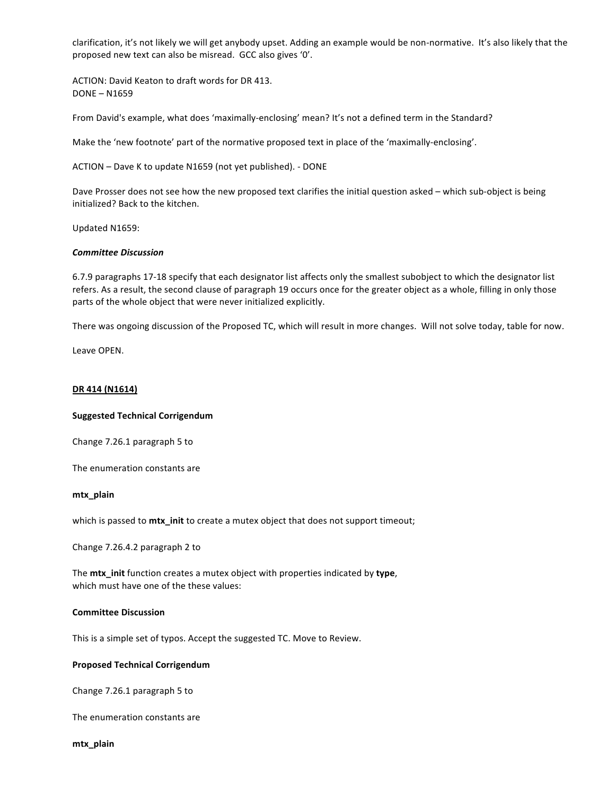clarification, it's not likely we will get anybody upset. Adding an example would be non-normative. It's also likely that the proposed new text can also be misread. GCC also gives '0'.

ACTION: David Keaton to draft words for DR 413. DONE - N1659

From David's example, what does 'maximally-enclosing' mean? It's not a defined term in the Standard?

Make the 'new footnote' part of the normative proposed text in place of the 'maximally-enclosing'.

ACTION – Dave K to update N1659 (not yet published). - DONE

Dave Prosser does not see how the new proposed text clarifies the initial question asked – which sub-object is being initialized? Back to the kitchen.

Updated N1659:

#### *Committee Discussion*

6.7.9 paragraphs 17-18 specify that each designator list affects only the smallest subobject to which the designator list refers. As a result, the second clause of paragraph 19 occurs once for the greater object as a whole, filling in only those parts of the whole object that were never initialized explicitly.

There was ongoing discussion of the Proposed TC, which will result in more changes. Will not solve today, table for now.

Leave OPEN.

#### **DR 414 (N1614)**

#### **Suggested Technical Corrigendum**

Change 7.26.1 paragraph 5 to 

The enumeration constants are

#### **mtx\_plain**

which is passed to mtx\_init to create a mutex object that does not support timeout;

Change 7.26.4.2 paragraph 2 to

The **mtx\_init** function creates a mutex object with properties indicated by type, which must have one of the these values:

#### **Committee Discussion**

This is a simple set of typos. Accept the suggested TC. Move to Review.

#### **Proposed Technical Corrigendum**

Change 7.26.1 paragraph 5 to 

The enumeration constants are

**mtx\_plain**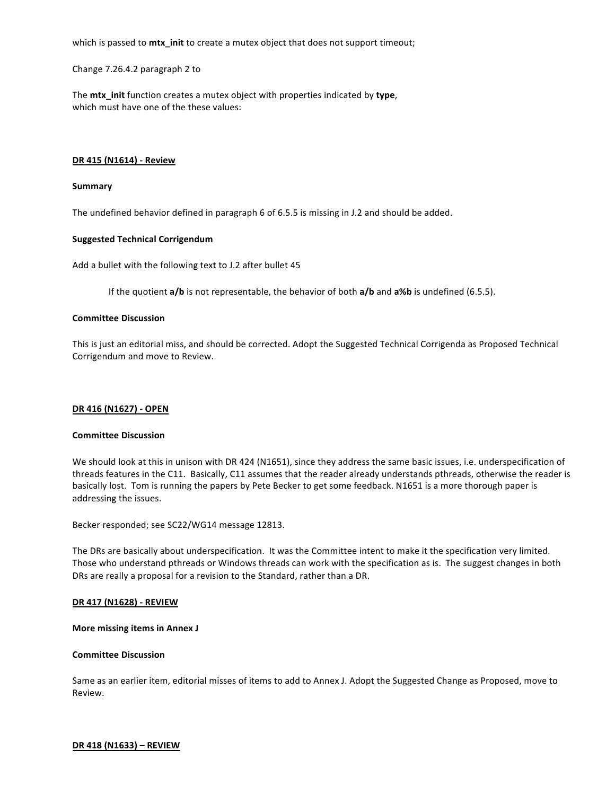which is passed to mtx\_init to create a mutex object that does not support timeout;

Change 7.26.4.2 paragraph 2 to

The **mtx** init function creates a mutex object with properties indicated by type, which must have one of the these values:

#### **DR 415 (N1614) - Review**

#### **Summary**

The undefined behavior defined in paragraph 6 of 6.5.5 is missing in J.2 and should be added.

#### **Suggested Technical Corrigendum**

Add a bullet with the following text to J.2 after bullet 45

If the quotient **a/b** is not representable, the behavior of both **a/b** and **a%b** is undefined (6.5.5).

#### **Committee Discussion**

This is just an editorial miss, and should be corrected. Adopt the Suggested Technical Corrigenda as Proposed Technical Corrigendum and move to Review.

#### **DR 416 (N1627) - OPEN**

#### **Committee Discussion**

We should look at this in unison with DR 424 (N1651), since they address the same basic issues, i.e. underspecification of threads features in the C11. Basically, C11 assumes that the reader already understands pthreads, otherwise the reader is basically lost. Tom is running the papers by Pete Becker to get some feedback. N1651 is a more thorough paper is addressing the issues.

Becker responded; see SC22/WG14 message 12813.

The DRs are basically about underspecification. It was the Committee intent to make it the specification very limited. Those who understand pthreads or Windows threads can work with the specification as is. The suggest changes in both DRs are really a proposal for a revision to the Standard, rather than a DR.

#### **DR 417 (N1628) - REVIEW**

#### **More missing items in Annex J**

#### **Committee Discussion**

Same as an earlier item, editorial misses of items to add to Annex J. Adopt the Suggested Change as Proposed, move to Review.

#### **DR 418 (N1633) – REVIEW**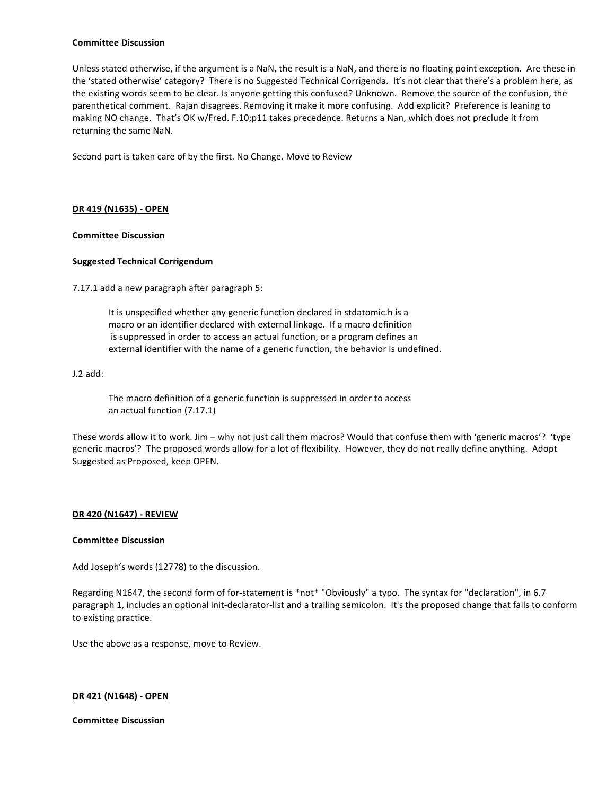#### **Committee Discussion**

Unless stated otherwise, if the argument is a NaN, the result is a NaN, and there is no floating point exception. Are these in the 'stated otherwise' category? There is no Suggested Technical Corrigenda. It's not clear that there's a problem here, as the existing words seem to be clear. Is anyone getting this confused? Unknown. Remove the source of the confusion, the parenthetical comment. Rajan disagrees. Removing it make it more confusing. Add explicit? Preference is leaning to making NO change. That's OK w/Fred. F.10;p11 takes precedence. Returns a Nan, which does not preclude it from returning the same NaN.

Second part is taken care of by the first. No Change. Move to Review

#### **DR 419 (N1635) - OPEN**

#### **Committee Discussion**

#### **Suggested Technical Corrigendum**

7.17.1 add a new paragraph after paragraph 5:

It is unspecified whether any generic function declared in stdatomic.h is a macro or an identifier declared with external linkage. If a macro definition is suppressed in order to access an actual function, or a program defines an external identifier with the name of a generic function, the behavior is undefined.

#### J.2 add:

The macro definition of a generic function is suppressed in order to access an actual function (7.17.1)

These words allow it to work. Jim – why not just call them macros? Would that confuse them with 'generic macros'? 'type generic macros'? The proposed words allow for a lot of flexibility. However, they do not really define anything. Adopt Suggested as Proposed, keep OPEN.

#### **DR 420 (N1647) - REVIEW**

#### **Committee Discussion**

Add Joseph's words (12778) to the discussion.

Regarding N1647, the second form of for-statement is \*not\* "Obviously" a typo. The syntax for "declaration", in 6.7 paragraph 1, includes an optional init-declarator-list and a trailing semicolon. It's the proposed change that fails to conform to existing practice.

Use the above as a response, move to Review.

#### **DR 421 (N1648) - OPEN**

**Committee Discussion**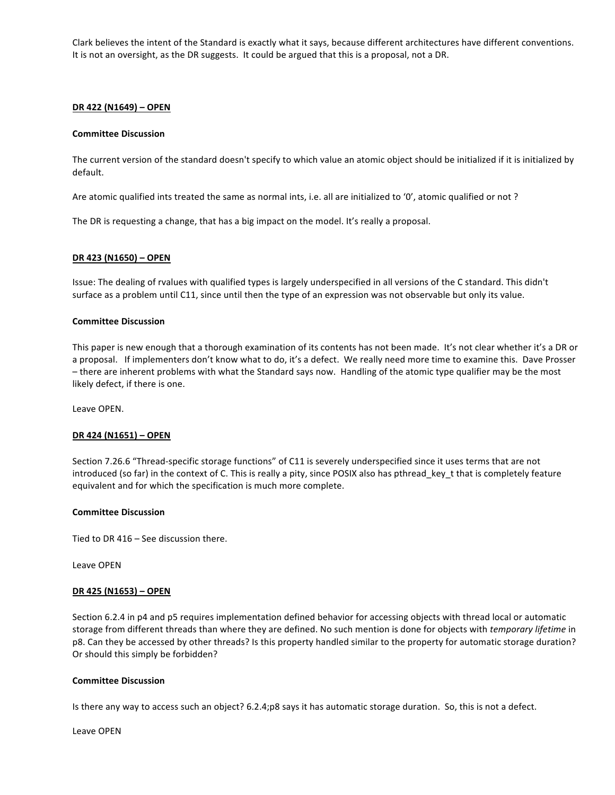Clark believes the intent of the Standard is exactly what it says, because different architectures have different conventions. It is not an oversight, as the DR suggests. It could be argued that this is a proposal, not a DR.

#### **DR 422 (N1649) – OPEN**

#### **Committee Discussion**

The current version of the standard doesn't specify to which value an atomic object should be initialized if it is initialized by default. 

Are atomic qualified ints treated the same as normal ints, i.e. all are initialized to '0', atomic qualified or not?

The DR is requesting a change, that has a big impact on the model. It's really a proposal.

#### **DR 423 (N1650) - OPEN**

Issue: The dealing of rvalues with qualified types is largely underspecified in all versions of the C standard. This didn't surface as a problem until C11, since until then the type of an expression was not observable but only its value.

#### **Committee Discussion**

This paper is new enough that a thorough examination of its contents has not been made. It's not clear whether it's a DR or a proposal. If implementers don't know what to do, it's a defect. We really need more time to examine this. Dave Prosser - there are inherent problems with what the Standard says now. Handling of the atomic type qualifier may be the most likely defect, if there is one.

Leave OPEN.

#### **DR 424 (N1651) – OPEN**

Section 7.26.6 "Thread-specific storage functions" of C11 is severely underspecified since it uses terms that are not introduced (so far) in the context of C. This is really a pity, since POSIX also has pthread\_key\_t that is completely feature equivalent and for which the specification is much more complete.

# **Committee Discussion**

Tied to DR  $416 -$  See discussion there.

Leave OPEN

#### **DR 425 (N1653) – OPEN**

Section 6.2.4 in p4 and p5 requires implementation defined behavior for accessing objects with thread local or automatic storage from different threads than where they are defined. No such mention is done for objects with *temporary lifetime* in p8. Can they be accessed by other threads? Is this property handled similar to the property for automatic storage duration? Or should this simply be forbidden?

#### **Committee Discussion**

Is there any way to access such an object? 6.2.4;p8 says it has automatic storage duration. So, this is not a defect.

Leave OPEN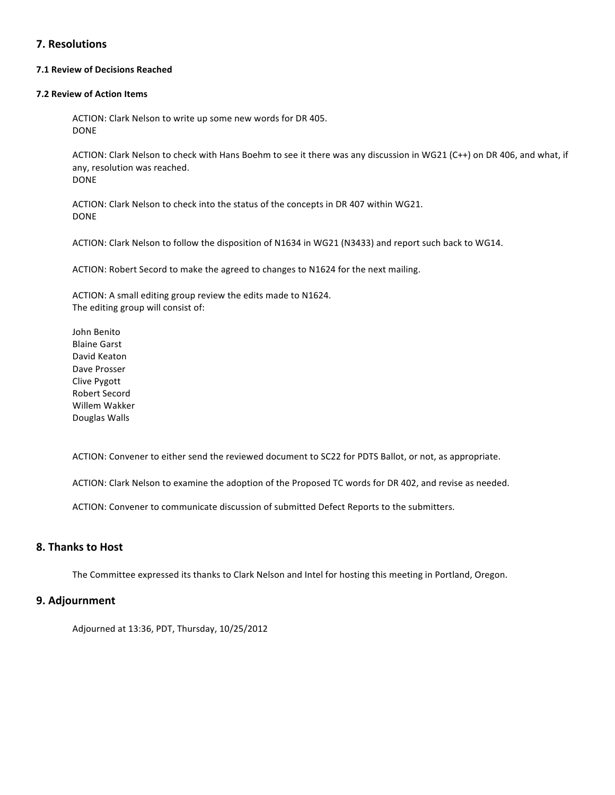# **7. Resolutions**

# **7.1 Review of Decisions Reached**

#### **7.2 Review of Action Items**

ACTION: Clark Nelson to write up some new words for DR 405. DONE

ACTION: Clark Nelson to check with Hans Boehm to see it there was any discussion in WG21 (C++) on DR 406, and what, if any, resolution was reached. DONE

ACTION: Clark Nelson to check into the status of the concepts in DR 407 within WG21. DONE

ACTION: Clark Nelson to follow the disposition of N1634 in WG21 (N3433) and report such back to WG14.

ACTION: Robert Secord to make the agreed to changes to N1624 for the next mailing.

ACTION: A small editing group review the edits made to N1624. The editing group will consist of:

John Benito **Blaine Garst** David Keaton Dave Prosser Clive Pygott Robert Secord Willem Wakker Douglas Walls

ACTION: Convener to either send the reviewed document to SC22 for PDTS Ballot, or not, as appropriate.

ACTION: Clark Nelson to examine the adoption of the Proposed TC words for DR 402, and revise as needed.

ACTION: Convener to communicate discussion of submitted Defect Reports to the submitters.

# **8. Thanks to Host**

The Committee expressed its thanks to Clark Nelson and Intel for hosting this meeting in Portland, Oregon.

# **9. Adjournment**

Adjourned at 13:36, PDT, Thursday, 10/25/2012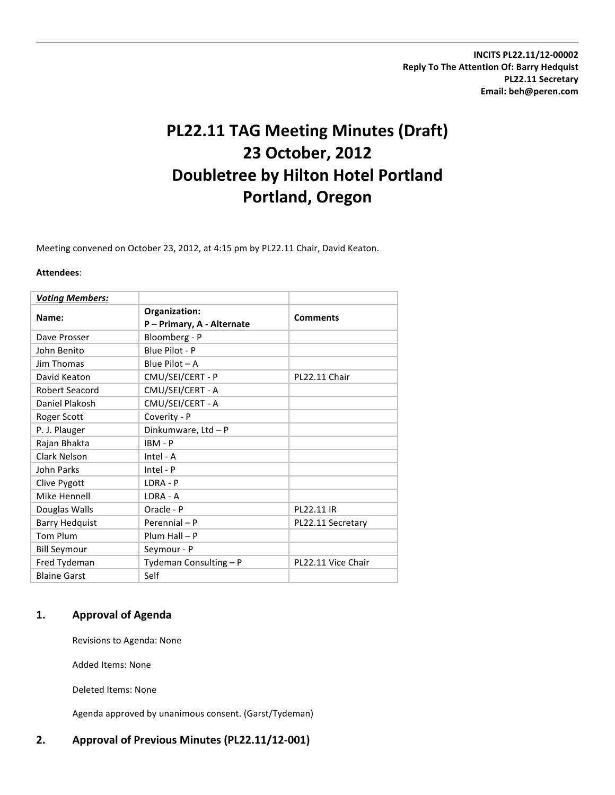**INCITS PL22.11/12-00002 Reply To The Attention Of: Barry Hedquist PL22.11 Secretary Email: beh@peren.com**

# **PL22.11 TAG Meeting Minutes (Draft) 23 October, 2012 Doubletree by Hilton Hotel Portland Portland, Oregon**

Meeting convened on October 23, 2012, at 4:15 pm by PL22.11 Chair, David Keaton.

#### **Attendees**:

| <b>Voting Members:</b> |                                             |                    |
|------------------------|---------------------------------------------|--------------------|
| Name:                  | Organization:<br>P - Primary, A - Alternate | <b>Comments</b>    |
| Dave Prosser           | Bloomberg - P                               |                    |
| John Benito            | Blue Pilot - P                              |                    |
| Jim Thomas             | Blue Pilot $-A$                             |                    |
| David Keaton           | CMU/SEI/CERT - P                            | PL22.11 Chair      |
| Robert Seacord         | CMU/SEI/CERT - A                            |                    |
| Daniel Plakosh         | CMU/SEI/CERT - A                            |                    |
| Roger Scott            | Coverity - P                                |                    |
| P. J. Plauger          | Dinkumware, Ltd - P                         |                    |
| Rajan Bhakta           | $IBM - P$                                   |                    |
| <b>Clark Nelson</b>    | Intel - A                                   |                    |
| John Parks             | $Intel - P$                                 |                    |
| Clive Pygott           | LDRA - P                                    |                    |
| Mike Hennell           | LDRA - A                                    |                    |
| Douglas Walls          | Oracle - P                                  | PL22.11 IR         |
| <b>Barry Hedquist</b>  | Perennial - P                               | PL22.11 Secretary  |
| Tom Plum               | $Plum Hall - P$                             |                    |
| <b>Bill Seymour</b>    | Seymour - P                                 |                    |
| Fred Tydeman           | Tydeman Consulting - P                      | PL22.11 Vice Chair |
| <b>Blaine Garst</b>    | Self                                        |                    |

# **1. Approval of Agenda**

Revisions to Agenda: None

Added Items: None

Deleted Items: None

Agenda approved by unanimous consent. (Garst/Tydeman)

# 2. Approval of Previous Minutes (PL22.11/12-001)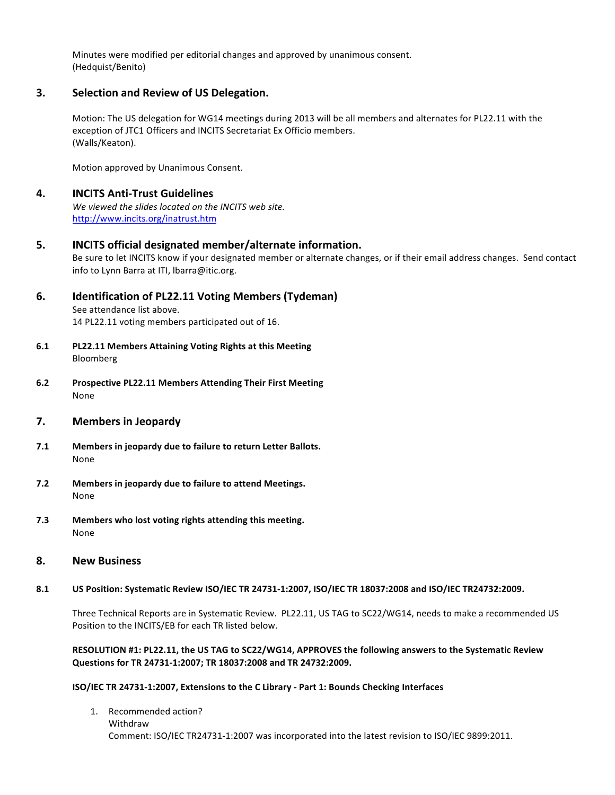Minutes were modified per editorial changes and approved by unanimous consent. (Hedquist/Benito) 

# **3.** Selection and Review of US Delegation.

Motion: The US delegation for WG14 meetings during 2013 will be all members and alternates for PL22.11 with the exception of JTC1 Officers and INCITS Secretariat Ex Officio members. (Walls/Keaton).

Motion approved by Unanimous Consent.

# **4. INCITS Anti-Trust Guidelines**

We viewed the slides located on the INCITS web site. http://www.incits.org/inatrust.htm

# **5. INCITS** official designated member/alternate information.

Be sure to let INCITS know if your designated member or alternate changes, or if their email address changes. Send contact info to Lynn Barra at ITI, Ibarra@itic.org.

# **6. Identification of PL22.11 Voting Members (Tydeman)**

See attendance list above. 14 PL22.11 voting members participated out of 16.

- **6.1 PL22.11 Members Attaining Voting Rights at this Meeting** Bloomberg
- **6.2 Prospective PL22.11 Members Attending Their First Meeting** None

# **7. Members in Jeopardy**

- **7.1** Members in jeopardy due to failure to return Letter Ballots. None
- **7.2 Members in jeopardy due to failure to attend Meetings.** None
- **7.3 Members who lost voting rights attending this meeting.** None

# **8. New Business**

# **8.1 US Position: Systematic Review ISO/IEC TR 24731-1:2007, ISO/IEC TR 18037:2008 and ISO/IEC TR24732:2009.**

Three Technical Reports are in Systematic Review. PL22.11, US TAG to SC22/WG14, needs to make a recommended US Position to the INCITS/EB for each TR listed below.

# RESOLUTION #1: PL22.11, the US TAG to SC22/WG14, APPROVES the following answers to the Systematic Review Questions for TR 24731-1:2007; TR 18037:2008 and TR 24732:2009.

# **ISO/IEC TR 24731-1:2007, Extensions to the C Library - Part 1: Bounds Checking Interfaces**

1. Recommended action? Withdraw Comment: ISO/IEC TR24731-1:2007 was incorporated into the latest revision to ISO/IEC 9899:2011.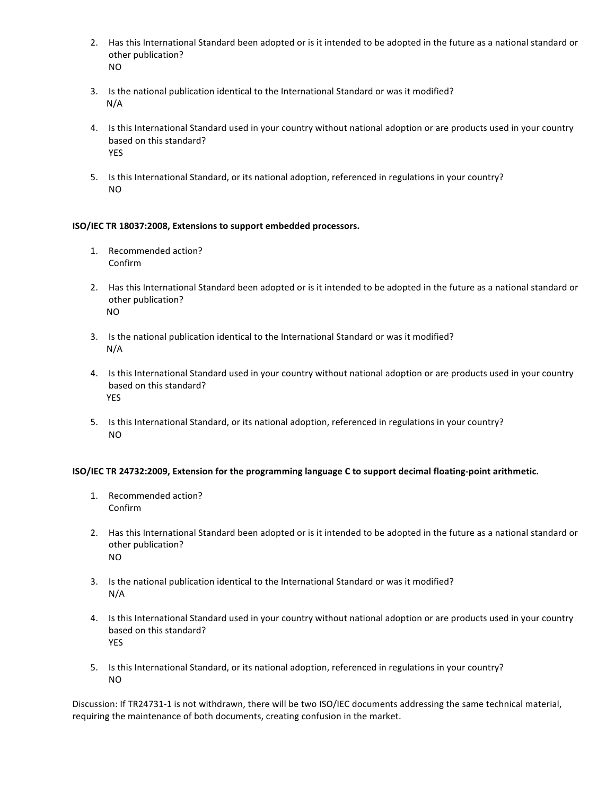- 2. Has this International Standard been adopted or is it intended to be adopted in the future as a national standard or other publication? NO
- 3. Is the national publication identical to the International Standard or was it modified? N/A
- 4. Is this International Standard used in your country without national adoption or are products used in your country based on this standard? YES
- 5. Is this International Standard, or its national adoption, referenced in regulations in your country? NO

# **ISO/IEC TR 18037:2008, Extensions to support embedded processors.**

- 1. Recommended action? Confirm
- 2. Has this International Standard been adopted or is it intended to be adopted in the future as a national standard or other publication? NO
- 3. Is the national publication identical to the International Standard or was it modified? N/A
- 4. Is this International Standard used in your country without national adoption or are products used in your country based on this standard? YES
- 5. Is this International Standard, or its national adoption, referenced in regulations in your country? NO

# **ISO/IEC TR 24732:2009, Extension for the programming language C to support decimal floating-point arithmetic.**

- 1. Recommended action? Confirm
- 2. Has this International Standard been adopted or is it intended to be adopted in the future as a national standard or other publication? NO
- 3. Is the national publication identical to the International Standard or was it modified? N/A
- 4. Is this International Standard used in your country without national adoption or are products used in your country based on this standard? YES
- 5. Is this International Standard, or its national adoption, referenced in regulations in your country? NO

Discussion: If TR24731-1 is not withdrawn, there will be two ISO/IEC documents addressing the same technical material, requiring the maintenance of both documents, creating confusion in the market.